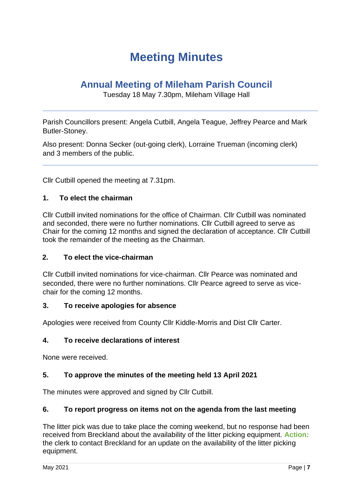## **Meeting Minutes**

## **Annual Meeting of Mileham Parish Council**

Tuesday 18 May 7.30pm, Mileham Village Hall

Parish Councillors present: Angela Cutbill, Angela Teague, Jeffrey Pearce and Mark Butler-Stoney.

Also present: Donna Secker (out-going clerk), Lorraine Trueman (incoming clerk) and 3 members of the public.

Cllr Cutbill opened the meeting at 7.31pm.

### **1. To elect the chairman**

Cllr Cutbill invited nominations for the office of Chairman. Cllr Cutbill was nominated and seconded, there were no further nominations. Cllr Cutbill agreed to serve as Chair for the coming 12 months and signed the declaration of acceptance. Cllr Cutbill took the remainder of the meeting as the Chairman.

#### **2. To elect the vice-chairman**

Cllr Cutbill invited nominations for vice-chairman. Cllr Pearce was nominated and seconded, there were no further nominations. Cllr Pearce agreed to serve as vicechair for the coming 12 months.

#### **3. To receive apologies for absence**

Apologies were received from County Cllr Kiddle-Morris and Dist Cllr Carter.

### **4. To receive declarations of interest**

None were received.

#### **5. To approve the minutes of the meeting held 13 April 2021**

The minutes were approved and signed by Cllr Cutbill.

#### **6. To report progress on items not on the agenda from the last meeting**

The litter pick was due to take place the coming weekend, but no response had been received from Breckland about the availability of the litter picking equipment. **Action:** the clerk to contact Breckland for an update on the availability of the litter picking equipment.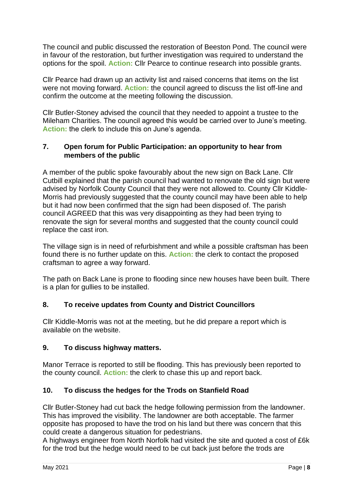The council and public discussed the restoration of Beeston Pond. The council were in favour of the restoration, but further investigation was required to understand the options for the spoil. **Action:** Cllr Pearce to continue research into possible grants.

Cllr Pearce had drawn up an activity list and raised concerns that items on the list were not moving forward. **Action:** the council agreed to discuss the list off-line and confirm the outcome at the meeting following the discussion.

Cllr Butler-Stoney advised the council that they needed to appoint a trustee to the Mileham Charities. The council agreed this would be carried over to June's meeting. **Action:** the clerk to include this on June's agenda.

### **7. Open forum for Public Participation: an opportunity to hear from members of the public**

A member of the public spoke favourably about the new sign on Back Lane. Cllr Cutbill explained that the parish council had wanted to renovate the old sign but were advised by Norfolk County Council that they were not allowed to. County Cllr Kiddle-Morris had previously suggested that the county council may have been able to help but it had now been confirmed that the sign had been disposed of. The parish council AGREED that this was very disappointing as they had been trying to renovate the sign for several months and suggested that the county council could replace the cast iron.

The village sign is in need of refurbishment and while a possible craftsman has been found there is no further update on this. **Action:** the clerk to contact the proposed craftsman to agree a way forward.

The path on Back Lane is prone to flooding since new houses have been built. There is a plan for gullies to be installed.

## **8. To receive updates from County and District Councillors**

Cllr Kiddle-Morris was not at the meeting, but he did prepare a report which is available on the website.

### **9. To discuss highway matters.**

Manor Terrace is reported to still be flooding. This has previously been reported to the county council. **Action:** the clerk to chase this up and report back.

### **10. To discuss the hedges for the Trods on Stanfield Road**

Cllr Butler-Stoney had cut back the hedge following permission from the landowner. This has improved the visibility. The landowner are both acceptable. The farmer opposite has proposed to have the trod on his land but there was concern that this could create a dangerous situation for pedestrians.

A highways engineer from North Norfolk had visited the site and quoted a cost of £6k for the trod but the hedge would need to be cut back just before the trods are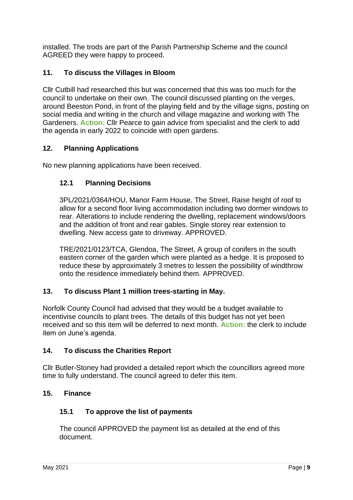installed. The trods are part of the Parish Partnership Scheme and the council AGREED they were happy to proceed.

## **11. To discuss the Villages in Bloom**

Cllr Cutbill had researched this but was concerned that this was too much for the council to undertake on their own. The council discussed planting on the verges, around Beeston Pond, in front of the playing field and by the village signs, posting on social media and writing in the church and village magazine and working with The Gardeners. **Action:** Cllr Pearce to gain advice from specialist and the clerk to add the agenda in early 2022 to coincide with open gardens.

## **12. Planning Applications**

No new planning applications have been received.

### **12.1 Planning Decisions**

3PL/2021/0364/HOU, Manor Farm House, The Street, Raise height of roof to allow for a second floor living accommodation including two dormer windows to rear. Alterations to include rendering the dwelling, replacement windows/doors and the addition of front and rear gables. Single storey rear extension to dwelling. New access gate to driveway. APPROVED.

TRE/2021/0123/TCA, Glendoa, The Street, A group of conifers in the south eastern corner of the garden which were planted as a hedge. It is proposed to reduce these by approximately 3 metres to lessen the possibility of windthrow onto the residence immediately behind them. APPROVED.

### **13. To discuss Plant 1 million trees-starting in May.**

Norfolk County Council had advised that they would be a budget available to incentivise councils to plant trees. The details of this budget has not yet been received and so this item will be deferred to next month. **Action:** the clerk to include item on June's agenda.

### **14. To discuss the Charities Report**

Cllr Butler-Stoney had provided a detailed report which the councillors agreed more time to fully understand. The council agreed to defer this item.

#### **15. Finance**

### **15.1 To approve the list of payments**

The council APPROVED the payment list as detailed at the end of this document.